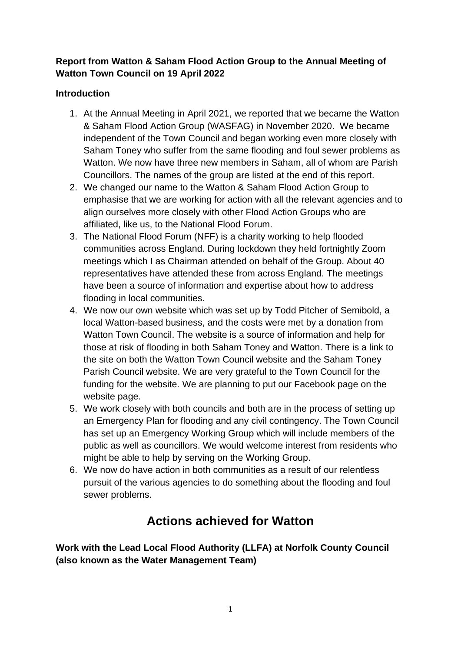## **Report from Watton & Saham Flood Action Group to the Annual Meeting of Watton Town Council on 19 April 2022**

## **Introduction**

- 1. At the Annual Meeting in April 2021, we reported that we became the Watton & Saham Flood Action Group (WASFAG) in November 2020. We became independent of the Town Council and began working even more closely with Saham Toney who suffer from the same flooding and foul sewer problems as Watton. We now have three new members in Saham, all of whom are Parish Councillors. The names of the group are listed at the end of this report.
- 2. We changed our name to the Watton & Saham Flood Action Group to emphasise that we are working for action with all the relevant agencies and to align ourselves more closely with other Flood Action Groups who are affiliated, like us, to the National Flood Forum.
- 3. The National Flood Forum (NFF) is a charity working to help flooded communities across England. During lockdown they held fortnightly Zoom meetings which I as Chairman attended on behalf of the Group. About 40 representatives have attended these from across England. The meetings have been a source of information and expertise about how to address flooding in local communities.
- 4. We now our own website which was set up by Todd Pitcher of Semibold, a local Watton-based business, and the costs were met by a donation from Watton Town Council. The website is a source of information and help for those at risk of flooding in both Saham Toney and Watton. There is a link to the site on both the Watton Town Council website and the Saham Toney Parish Council website. We are very grateful to the Town Council for the funding for the website. We are planning to put our Facebook page on the website page.
- 5. We work closely with both councils and both are in the process of setting up an Emergency Plan for flooding and any civil contingency. The Town Council has set up an Emergency Working Group which will include members of the public as well as councillors. We would welcome interest from residents who might be able to help by serving on the Working Group.
- 6. We now do have action in both communities as a result of our relentless pursuit of the various agencies to do something about the flooding and foul sewer problems.

# **Actions achieved for Watton**

**Work with the Lead Local Flood Authority (LLFA) at Norfolk County Council (also known as the Water Management Team)**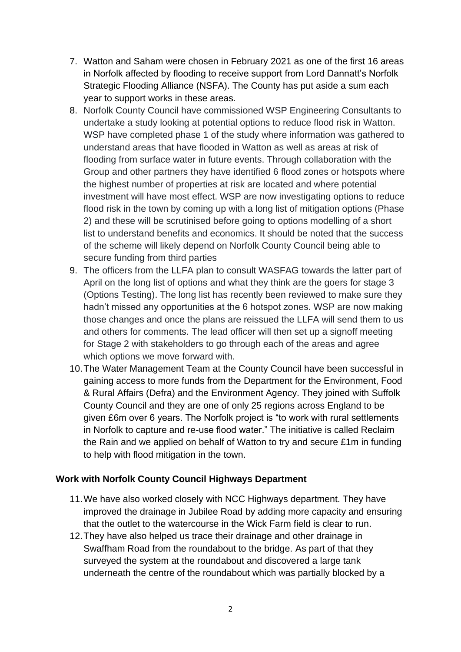- 7. Watton and Saham were chosen in February 2021 as one of the first 16 areas in Norfolk affected by flooding to receive support from Lord Dannatt's Norfolk Strategic Flooding Alliance (NSFA). The County has put aside a sum each year to support works in these areas.
- 8. Norfolk County Council have commissioned WSP Engineering Consultants to undertake a study looking at potential options to reduce flood risk in Watton. WSP have completed phase 1 of the study where information was gathered to understand areas that have flooded in Watton as well as areas at risk of flooding from surface water in future events. Through collaboration with the Group and other partners they have identified 6 flood zones or hotspots where the highest number of properties at risk are located and where potential investment will have most effect. WSP are now investigating options to reduce flood risk in the town by coming up with a long list of mitigation options (Phase 2) and these will be scrutinised before going to options modelling of a short list to understand benefits and economics. It should be noted that the success of the scheme will likely depend on Norfolk County Council being able to secure funding from third parties
- 9. The officers from the LLFA plan to consult WASFAG towards the latter part of April on the long list of options and what they think are the goers for stage 3 (Options Testing). The long list has recently been reviewed to make sure they hadn't missed any opportunities at the 6 hotspot zones. WSP are now making those changes and once the plans are reissued the LLFA will send them to us and others for comments. The lead officer will then set up a signoff meeting for Stage 2 with stakeholders to go through each of the areas and agree which options we move forward with.
- 10.The Water Management Team at the County Council have been successful in gaining access to more funds from the Department for the Environment, Food & Rural Affairs (Defra) and the Environment Agency. They joined with Suffolk County Council and they are one of only 25 regions across England to be given £6m over 6 years. The Norfolk project is "to work with rural settlements in Norfolk to capture and re-use flood water." The initiative is called Reclaim the Rain and we applied on behalf of Watton to try and secure £1m in funding to help with flood mitigation in the town.

### **Work with Norfolk County Council Highways Department**

- 11.We have also worked closely with NCC Highways department. They have improved the drainage in Jubilee Road by adding more capacity and ensuring that the outlet to the watercourse in the Wick Farm field is clear to run.
- 12.They have also helped us trace their drainage and other drainage in Swaffham Road from the roundabout to the bridge. As part of that they surveyed the system at the roundabout and discovered a large tank underneath the centre of the roundabout which was partially blocked by a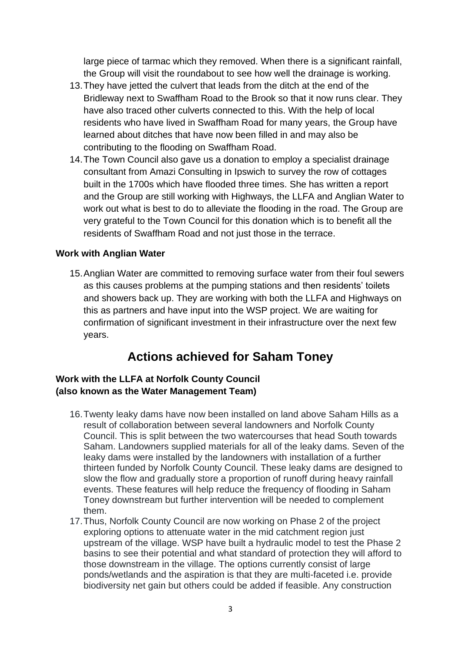large piece of tarmac which they removed. When there is a significant rainfall, the Group will visit the roundabout to see how well the drainage is working.

- 13.They have jetted the culvert that leads from the ditch at the end of the Bridleway next to Swaffham Road to the Brook so that it now runs clear. They have also traced other culverts connected to this. With the help of local residents who have lived in Swaffham Road for many years, the Group have learned about ditches that have now been filled in and may also be contributing to the flooding on Swaffham Road.
- 14.The Town Council also gave us a donation to employ a specialist drainage consultant from Amazi Consulting in Ipswich to survey the row of cottages built in the 1700s which have flooded three times. She has written a report and the Group are still working with Highways, the LLFA and Anglian Water to work out what is best to do to alleviate the flooding in the road. The Group are very grateful to the Town Council for this donation which is to benefit all the residents of Swaffham Road and not just those in the terrace.

#### **Work with Anglian Water**

15.Anglian Water are committed to removing surface water from their foul sewers as this causes problems at the pumping stations and then residents' toilets and showers back up. They are working with both the LLFA and Highways on this as partners and have input into the WSP project. We are waiting for confirmation of significant investment in their infrastructure over the next few years.

## **Actions achieved for Saham Toney**

### **Work with the LLFA at Norfolk County Council (also known as the Water Management Team)**

- 16.Twenty leaky dams have now been installed on land above Saham Hills as a result of collaboration between several landowners and Norfolk County Council. This is split between the two watercourses that head South towards Saham. Landowners supplied materials for all of the leaky dams. Seven of the leaky dams were installed by the landowners with installation of a further thirteen funded by Norfolk County Council. These leaky dams are designed to slow the flow and gradually store a proportion of runoff during heavy rainfall events. These features will help reduce the frequency of flooding in Saham Toney downstream but further intervention will be needed to complement them.
- 17.Thus, Norfolk County Council are now working on Phase 2 of the project exploring options to attenuate water in the mid catchment region just upstream of the village. WSP have built a hydraulic model to test the Phase 2 basins to see their potential and what standard of protection they will afford to those downstream in the village. The options currently consist of large ponds/wetlands and the aspiration is that they are multi-faceted i.e. provide biodiversity net gain but others could be added if feasible. Any construction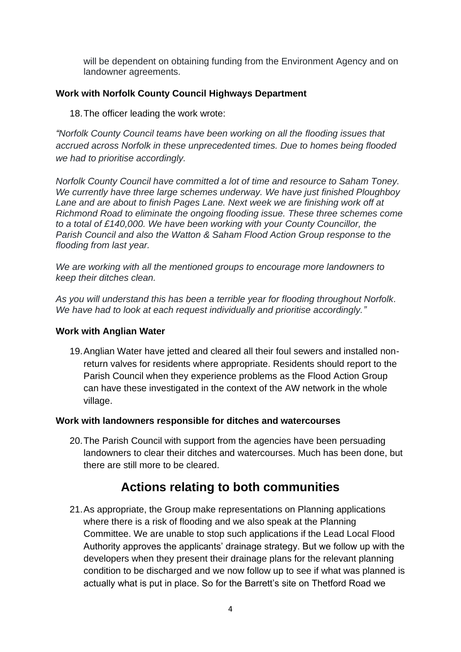will be dependent on obtaining funding from the Environment Agency and on landowner agreements.

#### **Work with Norfolk County Council Highways Department**

18.The officer leading the work wrote:

*"Norfolk County Council teams have been working on all the flooding issues that accrued across Norfolk in these unprecedented times. Due to homes being flooded we had to prioritise accordingly.*

*Norfolk County Council have committed a lot of time and resource to Saham Toney. We currently have three large schemes underway. We have just finished Ploughboy Lane and are about to finish Pages Lane. Next week we are finishing work off at Richmond Road to eliminate the ongoing flooding issue. These three schemes come to a total of £140,000. We have been working with your County Councillor, the Parish Council and also the Watton & Saham Flood Action Group response to the flooding from last year.*

*We are working with all the mentioned groups to encourage more landowners to keep their ditches clean.*

*As you will understand this has been a terrible year for flooding throughout Norfolk. We have had to look at each request individually and prioritise accordingly."*

#### **Work with Anglian Water**

19.Anglian Water have jetted and cleared all their foul sewers and installed nonreturn valves for residents where appropriate. Residents should report to the Parish Council when they experience problems as the Flood Action Group can have these investigated in the context of the AW network in the whole village.

#### **Work with landowners responsible for ditches and watercourses**

20.The Parish Council with support from the agencies have been persuading landowners to clear their ditches and watercourses. Much has been done, but there are still more to be cleared.

## **Actions relating to both communities**

21.As appropriate, the Group make representations on Planning applications where there is a risk of flooding and we also speak at the Planning Committee. We are unable to stop such applications if the Lead Local Flood Authority approves the applicants' drainage strategy. But we follow up with the developers when they present their drainage plans for the relevant planning condition to be discharged and we now follow up to see if what was planned is actually what is put in place. So for the Barrett's site on Thetford Road we